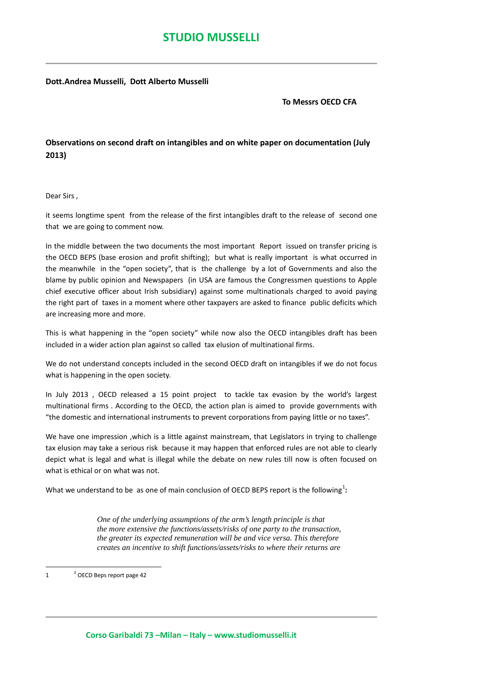**Dott.Andrea Musselli, Dott Alberto Musselli**

 **To Messrs OECD CFA**

## **Observations on second draft on intangibles and on white paper on documentation (July 2013)**

Dear Sirs ,

it seems longtime spent from the release of the first intangibles draft to the release of second one that we are going to comment now.

In the middle between the two documents the most important Report issued on transfer pricing is the OECD BEPS (base erosion and profit shifting); but what is really important is what occurred in the meanwhile in the "open society", that is the challenge by a lot of Governments and also the blame by public opinion and Newspapers (in USA are famous the Congressmen questions to Apple chief executive officer about Irish subsidiary) against some multinationals charged to avoid paying the right part of taxes in a moment where other taxpayers are asked to finance public deficits which are increasing more and more.

This is what happening in the "open society" while now also the OECD intangibles draft has been included in a wider action plan against so called tax elusion of multinational firms.

We do not understand concepts included in the second OECD draft on intangibles if we do not focus what is happening in the open society.

In July 2013 , OECD released a 15 point project to tackle tax evasion by the world's largest multinational firms . According to the OECD, the action plan is aimed to provide governments with "the domestic and international instruments to prevent corporations from paying little or no taxes".

We have one impression ,which is a little against mainstream, that Legislators in trying to challenge tax elusion may take a serious risk because it may happen that enforced rules are not able to clearly depict what is legal and what is illegal while the debate on new rules till now is often focused on what is ethical or on what was not.

What we understand to be as one of main conclusion of OECD BEPS report is the following<sup>[1](#page-0-0)</sup>:

*One of the underlying assumptions of the arm's length principle is that the more extensive the functions/assets/risks of one party to the transaction, the greater its expected remuneration will be and vice versa. This therefore creates an incentive to shift functions/assets/risks to where their returns are*

<span id="page-0-0"></span> $\overline{1}$  $^{\text{B}}$  OECD Beps report page 42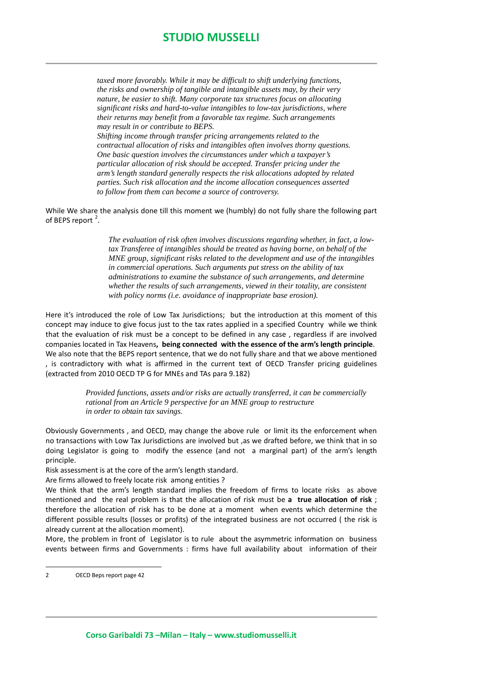*taxed more favorably. While it may be difficult to shift underlying functions, the risks and ownership of tangible and intangible assets may, by their very nature, be easier to shift. Many corporate tax structures focus on allocating significant risks and hard-to-value intangibles to low-tax jurisdictions, where their returns may benefit from a favorable tax regime. Such arrangements may result in or contribute to BEPS.*

*Shifting income through transfer pricing arrangements related to the contractual allocation of risks and intangibles often involves thorny questions. One basic question involves the circumstances under which a taxpayer's particular allocation of risk should be accepted. Transfer pricing under the arm's length standard generally respects the risk allocations adopted by related parties. Such risk allocation and the income allocation consequences asserted to follow from them can become a source of controversy.* 

While We share the analysis done till this moment we (humbly) do not fully share the following part of BEPS report<sup>[2](#page-1-0)</sup>.

> *The evaluation of risk often involves discussions regarding whether, in fact, a lowtax Transferee of intangibles should be treated as having borne, on behalf of the MNE group, significant risks related to the development and use of the intangibles in commercial operations. Such arguments put stress on the ability of tax administrations to examine the substance of such arrangements, and determine whether the results of such arrangements, viewed in their totality, are consistent with policy norms (i.e. avoidance of inappropriate base erosion).*

Here it's introduced the role of Low Tax Jurisdictions; but the introduction at this moment of this concept may induce to give focus just to the tax rates applied in a specified Country while we think that the evaluation of risk must be a concept to be defined in any case , regardless if are involved companies located in Tax Heavens**, being connected with the essence of the arm's length principle**. We also note that the BEPS report sentence, that we do not fully share and that we above mentioned , is contradictory with what is affirmed in the current text of OECD Transfer pricing guidelines (extracted from 2010 OECD TP G for MNEs and TAs para 9.182)

> *Provided functions, assets and/or risks are actually transferred, it can be commercially rational from an Article 9 perspective for an MNE group to restructure in order to obtain tax savings.*

Obviously Governments , and OECD, may change the above rule or limit its the enforcement when no transactions with Low Tax Jurisdictions are involved but ,as we drafted before, we think that in so doing Legislator is going to modify the essence (and not a marginal part) of the arm's length principle.

Risk assessment is at the core of the arm's length standard.

Are firms allowed to freely locate risk among entities ?

We think that the arm's length standard implies the freedom of firms to locate risks as above mentioned and the real problem is that the allocation of risk must be **a true allocation of risk** ; therefore the allocation of risk has to be done at a moment when events which determine the different possible results (losses or profits) of the integrated business are not occurred ( the risk is already current at the allocation moment).

More, the problem in front of Legislator is to rule about the asymmetric information on business events between firms and Governments : firms have full availability about information of their

<span id="page-1-0"></span> <sup>2</sup> OECD Beps report page 42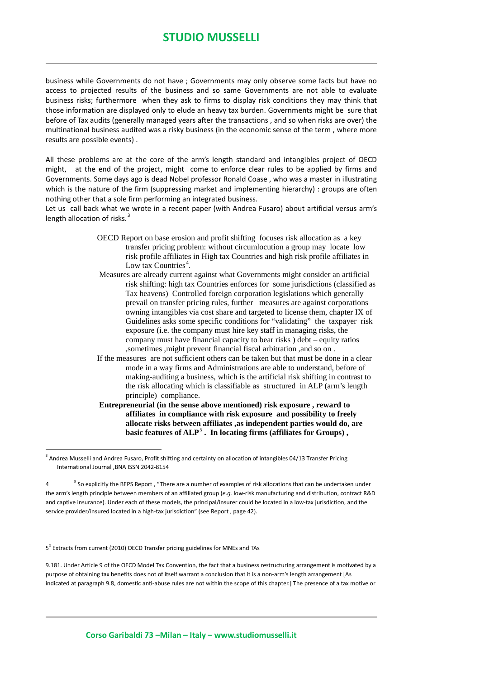## **STUDIO MUSSELLI**

business while Governments do not have ; Governments may only observe some facts but have no access to projected results of the business and so same Governments are not able to evaluate business risks; furthermore when they ask to firms to display risk conditions they may think that those information are displayed only to elude an heavy tax burden. Governments might be sure that before of Tax audits (generally managed years after the transactions , and so when risks are over) the multinational business audited was a risky business (in the economic sense of the term , where more results are possible events) .

All these problems are at the core of the arm's length standard and intangibles project of OECD might, at the end of the project, might come to enforce clear rules to be applied by firms and Governments. Some days ago is dead Nobel professor Ronald Coase , who was a master in illustrating which is the nature of the firm (suppressing market and implementing hierarchy) : groups are often nothing other that a sole firm performing an integrated business.

Let us call back what we wrote in a recent paper (with Andrea Fusaro) about artificial versus arm's length allocation of risks.<sup>[3](#page-2-0)</sup>

- OECD Report on base erosion and profit shifting focuses risk allocation as a key transfer pricing problem: without circumlocution a group may locate low risk profile affiliates in High tax Countries and high risk profile affiliates in Low tax Countries<sup>[4](#page-2-1)</sup>.
- Measures are already current against what Governments might consider an artificial risk shifting: high tax Countries enforces for some jurisdictions (classified as Tax heavens) Controlled foreign corporation legislations which generally prevail on transfer pricing rules, further measures are against corporations owning intangibles via cost share and targeted to license them, chapter IX of Guidelines asks some specific conditions for "validating" the taxpayer risk exposure (i.e. the company must hire key staff in managing risks, the company must have financial capacity to bear risks ) debt – equity ratios ,sometimes ,might prevent financial fiscal arbitration ,and so on .
- If the measures are not sufficient others can be taken but that must be done in a clear mode in a way firms and Administrations are able to understand, before of making-auditing a business, which is the artificial risk shifting in contrast to the risk allocating which is classifiable as structured in ALP (arm's length principle) compliance.
- **Entrepreneurial (in the sense above mentioned) risk exposure , reward to affiliates in compliance with risk exposure and possibility to freely allocate risks between affiliates ,as independent parties would do, are basic features of ALP**[5](#page-2-2) **. In locating firms (affiliates for Groups) ,**

<span id="page-2-2"></span>5<sup>®</sup> Extracts from current (2010) OECD Transfer pricing guidelines for MNEs and TAs

9.181. Under Article 9 of the OECD Model Tax Convention, the fact that a business restructuring arrangement is motivated by a purpose of obtaining tax benefits does not of itself warrant a conclusion that it is a non-arm's length arrangement [As indicated at paragraph 9.8, domestic anti-abuse rules are not within the scope of this chapter.] The presence of a tax motive or

<span id="page-2-0"></span><sup>&</sup>lt;sup>3</sup> Andrea Musselli and Andrea Fusaro, Profit shifting and certainty on allocation of intangibles 04/13 Transfer Pricing International Journal ,BNA ISSN 2042-8154 1

<span id="page-2-1"></span> $\overline{4}$ <sup>a</sup> So explicitly the BEPS Report, "There are a number of examples of risk allocations that can be undertaken under the arm's length principle between members of an affiliated group (*e.g.* low-risk manufacturing and distribution, contract R&D and captive insurance). Under each of these models, the principal/insurer could be located in a low-tax jurisdiction, and the service provider/insured located in a high-tax jurisdiction" (see Report , page 42).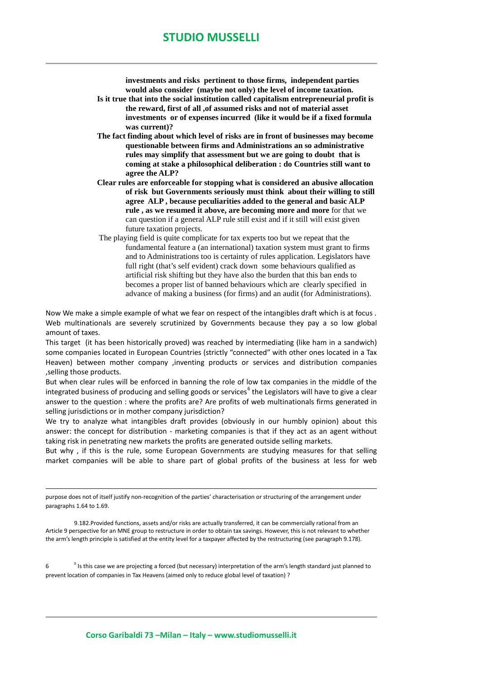**investments and risks pertinent to those firms, independent parties would also consider (maybe not only) the level of income taxation.** 

- **Is it true that into the social institution called capitalism entrepreneurial profit is the reward, first of all ,of assumed risks and not of material asset investments or of expenses incurred (like it would be if a fixed formula was current)?**
- **The fact finding about which level of risks are in front of businesses may become questionable between firms and Administrations an so administrative rules may simplify that assessment but we are going to doubt that is coming at stake a philosophical deliberation : do Countries still want to agree the ALP?**
- **Clear rules are enforceable for stopping what is considered an abusive allocation of risk but Governments seriously must think about their willing to still agree ALP , because peculiarities added to the general and basic ALP rule , as we resumed it above, are becoming more and more** for that we can question if a general ALP rule still exist and if it still will exist given future taxation projects.
- The playing field is quite complicate for tax experts too but we repeat that the fundamental feature a (an international) taxation system must grant to firms and to Administrations too is certainty of rules application. Legislators have full right (that's self evident) crack down some behaviours qualified as artificial risk shifting but they have also the burden that this ban ends to becomes a proper list of banned behaviours which are clearly specified in advance of making a business (for firms) and an audit (for Administrations).

Now We make a simple example of what we fear on respect of the intangibles draft which is at focus . Web multinationals are severely scrutinized by Governments because they pay a so low global amount of taxes.

This target (it has been historically proved) was reached by intermediating (like ham in a sandwich) some companies located in European Countries (strictly "connected" with other ones located in a Tax Heaven) between mother company ,inventing products or services and distribution companies ,selling those products.

But when clear rules will be enforced in banning the role of low tax companies in the middle of the integrated business of producing and selling goods or services<sup>[6](#page-3-0)</sup> the Legislators will have to give a clear answer to the question : where the profits are? Are profits of web multinationals firms generated in selling jurisdictions or in mother company jurisdiction?

We try to analyze what intangibles draft provides (obviously in our humbly opinion) about this answer: the concept for distribution - marketing companies is that if they act as an agent without taking risk in penetrating new markets the profits are generated outside selling markets.

But why , if this is the rule, some European Governments are studying measures for that selling market companies will be able to share part of global profits of the business at less for web

 purpose does not of itself justify non-recognition of the parties' characterisation or structuring of the arrangement under paragraphs 1.64 to 1.69.

9.182.Provided functions, assets and/or risks are actually transferred, it can be commercially rational from an Article 9 perspective for an MNE group to restructure in order to obtain tax savings. However, this is not relevant to whether the arm's length principle is satisfied at the entity level for a taxpayer affected by the restructuring (see paragraph 9.178).

<span id="page-3-0"></span> $6 \qquad \qquad ^{\circ}$  $^{\text{B}}$  Is this case we are projecting a forced (but necessary) interpretation of the arm's length standard just planned to prevent location of companies in Tax Heavens (aimed only to reduce global level of taxation) ?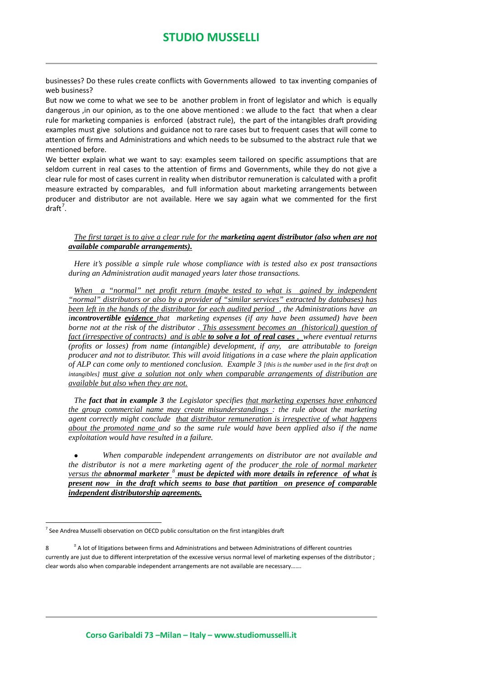businesses? Do these rules create conflicts with Governments allowed to tax inventing companies of web business?

But now we come to what we see to be another problem in front of legislator and which is equally dangerous ,in our opinion, as to the one above mentioned : we allude to the fact that when a clear rule for marketing companies is enforced (abstract rule), the part of the intangibles draft providing examples must give solutions and guidance not to rare cases but to frequent cases that will come to attention of firms and Administrations and which needs to be subsumed to the abstract rule that we mentioned before.

We better explain what we want to say: examples seem tailored on specific assumptions that are seldom current in real cases to the attention of firms and Governments, while they do not give a clear rule for most of cases current in reality when distributor remuneration is calculated with a profit measure extracted by comparables, and full information about marketing arrangements between producer and distributor are not available. Here we say again what we commented for the first  $dr$ aft<sup>[7](#page-4-0)</sup>.

## *The first target is to give a clear rule for the marketing agent distributor (also when are not available comparable arrangements).*

*Here it's possible a simple rule whose compliance with is tested also ex post transactions during an Administration audit managed years later those transactions.*

*When a "normal" net profit return (maybe tested to what is gained by independent "normal" distributors or also by a provider of "similar services" extracted by databases) has been left in the hands of the distributor for each audited period , the Administrations have an incontrovertible evidence that marketing expenses (if any have been assumed) have been borne not at the risk of the distributor . This assessment becomes an (historical) question of fact (irrespective of contracts) and is able to solve a lot of real cases , where eventual returns (profits or losses) from name (intangible) development, if any, are attributable to foreign producer and not to distributor. This will avoid litigations in a case where the plain application of ALP can come only to mentioned conclusion. Example 3 [this is the number used in the first draft on intangibles] must give a solution not only when comparable arrangements of distribution are available but also when they are not.*

*The fact that in example 3 the Legislator specifies that marketing expenses have enhanced the group commercial name may create misunderstandings : the rule about the marketing agent correctly might conclude that distributor remuneration is irrespective of what happens about the promoted name and so the same rule would have been applied also if the name exploitation would have resulted in a failure.*

• *When comparable independent arrangements on distributor are not available and the distributor is not a mere marketing agent of the producer the role of normal marketer versus the abnormal marketer [8](#page-4-1) must be depicted with more details in reference of what is present now in the draft which seems to base that partition on presence of comparable independent distributorship agreements.*

<span id="page-4-0"></span> $7$  See Andrea Musselli observation on OECD public consultation on the first intangibles draft

<span id="page-4-1"></span> $\mathbf{g}$  $^{\text{B}}$  A lot of litigations between firms and Administrations and between Administrations of different countries currently are just due to different interpretation of the excessive versus normal level of marketing expenses of the distributor ; clear words also when comparable independent arrangements are not available are necessary…….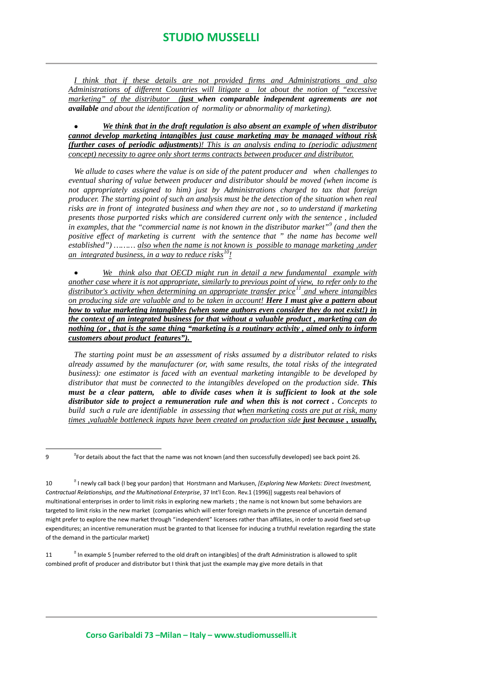*I think that if these details are not provided firms and Administrations and also Administrations of different Countries will litigate a lot about the notion of "excessive marketing" of the distributor (just when comparable independent agreements are not available and about the identification of normality or abnormality of marketing).*

• *We think that in the draft regulation is also absent an example of when distributor cannot develop marketing intangibles just cause marketing may be managed without risk (further cases of periodic adjustments)! This is an analysis ending to (periodic adjustment concept) necessity to agree only short terms contracts between producer and distributor.*

*We allude to cases where the value is on side of the patent producer and when challenges to eventual sharing of value between producer and distributor should be moved (when income is not appropriately assigned to him) just by Administrations charged to tax that foreign producer. The starting point of such an analysis must be the detection of the situation when real risks are in front of integrated business and when they are not , so to understand if marketing presents those purported risks which are considered current only with the sentence , included in examples, that the "commercial name is not known in the distributor market"[9](#page-5-0) (and then the positive effect of marketing is current with the sentence that " the name has become well established") ……… also when the name is not known is possible to manage marketing ,under an integrated business, in a way to reduce risks[10](#page-5-1)!*

• *We think also that OECD might run in detail a new fundamental example with another case where it is not appropriate, similarly to previous point of view, to refer only to the distributor's activity when determining an appropriate transfer price[11](#page-5-2) and where intangibles on producing side are valuable and to be taken in account! Here I must give a pattern about how to value marketing intangibles (when some authors even consider they do not exist!) in the context of an integrated business for that without a valuable product , marketing can do nothing (or , that is the same thing "marketing is a routinary activity , aimed only to inform customers about product features").* 

*The starting point must be an assessment of risks assumed by a distributor related to risks already assumed by the manufacturer (or, with same results, the total risks of the integrated business): one estimator is faced with an eventual marketing intangible to be developed by distributor that must be connected to the intangibles developed on the production side. This must be a clear pattern, able to divide cases when it is sufficient to look at the sole distributor side to project a remuneration rule and when this is not correct . Concepts to build such a rule are identifiable in assessing that when marketing costs are put at risk, many times ,valuable bottleneck inputs have been created on production side just because , usually,* 

<span id="page-5-2"></span> $11$  $\textsuperscript{B}$  In example 5 [number referred to the old draft on intangibles] of the draft Administration is allowed to split combined profit of producer and distributor but I think that just the example may give more details in that

<span id="page-5-0"></span> $\overline{9}$ For details about the fact that the name was not known (and then successfully developed) see back point 26.

<span id="page-5-1"></span> $10$  I newly call back (I beg your pardon) that Horstmann and Markusen, *[Exploring New Markets: Direct Investment, Contractual Relationships, and the Multinational Enterprise*, 37 Int'l Econ. Rev.1 (1996)] suggests real behaviors of multinational enterprises in order to limit risks in exploring new markets ; the name is not known but some behaviors are targeted to limit risks in the new market (companies which will enter foreign markets in the presence of uncertain demand might prefer to explore the new market through "independent" licensees rather than affiliates, in order to avoid fixed set-up expenditures; an incentive remuneration must be granted to that licensee for inducing a truthful revelation regarding the state of the demand in the particular market)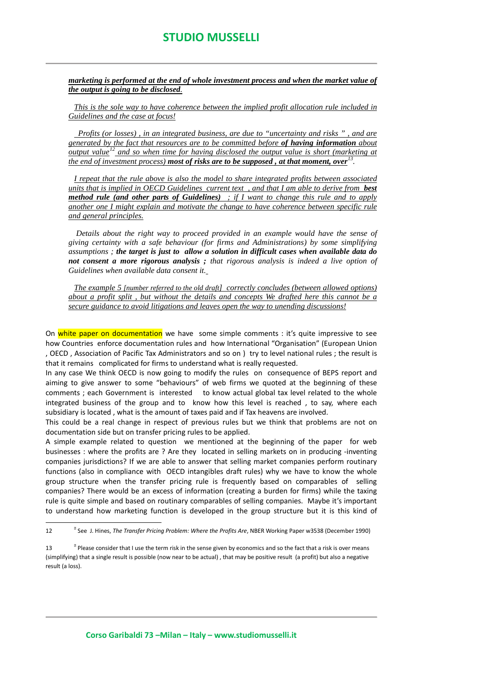*marketing is performed at the end of whole investment process and when the market value of the output is going to be disclosed.*

*This is the sole way to have coherence between the implied profit allocation rule included in Guidelines and the case at focus!*

 *Profits (or losses) , in an integrated business, are due to "uncertainty and risks " , and are generated by the fact that resources are to be committed before of having information about output value[12](#page-6-0) and so when time for having disclosed the output value is short (marketing at the end of investment process) most of risks are to be supposed , at that moment, over[13](#page-6-1).* 

*I repeat that the rule above is also the model to share integrated profits between associated units that is implied in OECD Guidelines current text , and that I am able to derive from best method rule (and other parts of Guidelines) ; if I want to change this rule and to apply another one I might explain and motivate the change to have coherence between specific rule and general principles.*

*Details about the right way to proceed provided in an example would have the sense of giving certainty with a safe behaviour (for firms and Administrations) by some simplifying assumptions ; the target is just to allow a solution in difficult cases when available data do not consent a more rigorous analysis ; that rigorous analysis is indeed a live option of Guidelines when available data consent it.*

*The example 5 [number referred to the old draft] correctly concludes (between allowed options) about a profit split , but without the details and concepts We drafted here this cannot be a secure guidance to avoid litigations and leaves open the way to unending discussions!*

On white paper on documentation we have some simple comments : it's quite impressive to see how Countries enforce documentation rules and how International "Organisation" (European Union , OECD , Association of Pacific Tax Administrators and so on ) try to level national rules ; the result is that it remains complicated for firms to understand what is really requested.

In any case We think OECD is now going to modify the rules on consequence of BEPS report and aiming to give answer to some "behaviours" of web firms we quoted at the beginning of these comments ; each Government is interested to know actual global tax level related to the whole integrated business of the group and to know how this level is reached , to say, where each subsidiary is located , what is the amount of taxes paid and if Tax heavens are involved.

This could be a real change in respect of previous rules but we think that problems are not on documentation side but on transfer pricing rules to be applied.

A simple example related to question we mentioned at the beginning of the paper for web businesses : where the profits are ? Are they located in selling markets on in producing -inventing companies jurisdictions? If we are able to answer that selling market companies perform routinary functions (also in compliance with OECD intangibles draft rules) why we have to know the whole group structure when the transfer pricing rule is frequently based on comparables of selling companies? There would be an excess of information (creating a burden for firms) while the taxing rule is quite simple and based on routinary comparables of selling companies. Maybe it's important to understand how marketing function is developed in the group structure but it is this kind of

<span id="page-6-0"></span> $\frac{12}{12}$ See J. Hines, *The Transfer Pricing Problem: Where the Profits Are*, NBER Working Paper w3538 (December 1990)

<span id="page-6-1"></span><sup>13</sup> - $^{\circ}$  Please consider that I use the term risk in the sense given by economics and so the fact that a risk is over means (simplifying) that a single result is possible (now near to be actual) , that may be positive result (a profit) but also a negative result (a loss).